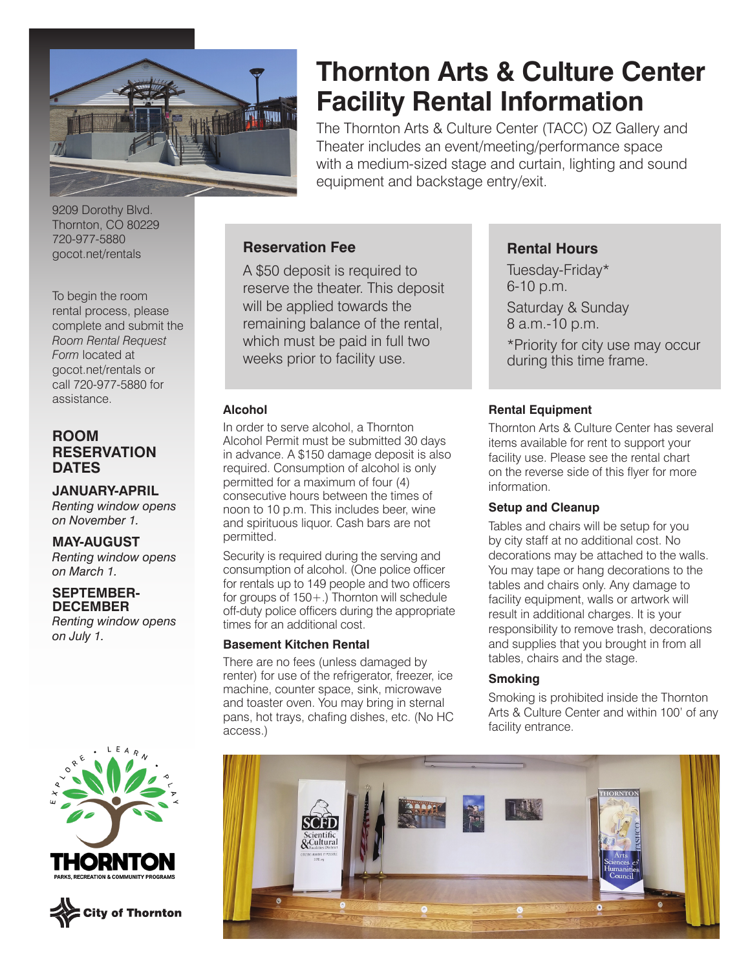

# **Thornton Arts & Culture Center Facility Rental Information**

The Thornton Arts & Culture Center (TACC) OZ Gallery and Theater includes an event/meeting/performance space with a medium-sized stage and curtain, lighting and sound equipment and backstage entry/exit.

9209 Dorothy Blvd. Thornton, CO 80229 720-977-5880 gocot.net/rentals

To begin the room rental process, please complete and submit the *Room Rental Request Form* located at gocot.net/rentals or call 720-977-5880 for assistance.

# **ROOM RESERVATION DATES**

**JANUARY-APRIL** *Renting window opens on November 1.*

**MAY-AUGUST** *Renting window opens on March 1.*

**SEPTEMBER-DECEMBER** *Renting window opens on July 1.*





## **Reservation Fee**

A \$50 deposit is required to reserve the theater. This deposit will be applied towards the remaining balance of the rental, which must be paid in full two weeks prior to facility use.

#### **Alcohol**

In order to serve alcohol, a Thornton Alcohol Permit must be submitted 30 days in advance. A \$150 damage deposit is also required. Consumption of alcohol is only permitted for a maximum of four (4) consecutive hours between the times of noon to 10 p.m. This includes beer, wine and spirituous liquor. Cash bars are not permitted.

Security is required during the serving and consumption of alcohol. (One police officer for rentals up to 149 people and two officers for groups of 150+.) Thornton will schedule off-duty police officers during the appropriate times for an additional cost.

#### **Basement Kitchen Rental**

There are no fees (unless damaged by renter) for use of the refrigerator, freezer, ice machine, counter space, sink, microwave and toaster oven. You may bring in sternal pans, hot trays, chafing dishes, etc. (No HC access.)

## **Rental Hours**

Tuesday-Friday\* 6-10 p.m. Saturday & Sunday 8 a.m.-10 p.m. \*Priority for city use may occur during this time frame.

#### **Rental Equipment**

Thornton Arts & Culture Center has several items available for rent to support your facility use. Please see the rental chart on the reverse side of this flyer for more information.

#### **Setup and Cleanup**

Tables and chairs will be setup for you by city staff at no additional cost. No decorations may be attached to the walls. You may tape or hang decorations to the tables and chairs only. Any damage to facility equipment, walls or artwork will result in additional charges. It is your responsibility to remove trash, decorations and supplies that you brought in from all tables, chairs and the stage.

#### **Smoking**

Smoking is prohibited inside the Thornton Arts & Culture Center and within 100' of any facility entrance.